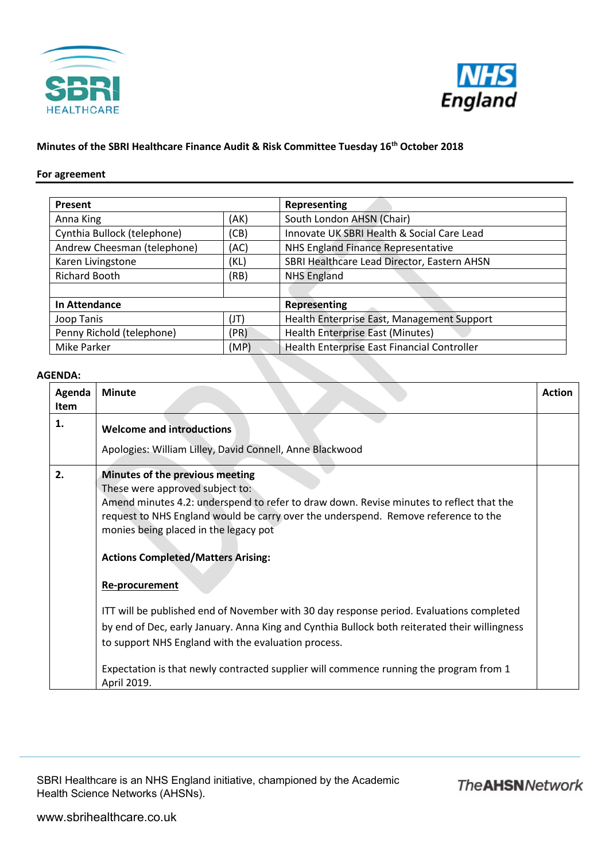



## **Minutes of the SBRI Healthcare Finance Audit & Risk Committee Tuesday 16th October 2018**

## **For agreement**

| Present                     |      | Representing                                |
|-----------------------------|------|---------------------------------------------|
| Anna King                   | (AK) | South London AHSN (Chair)                   |
| Cynthia Bullock (telephone) | (CB) | Innovate UK SBRI Health & Social Care Lead  |
| Andrew Cheesman (telephone) | (AC) | NHS England Finance Representative          |
| Karen Livingstone           | (KL) | SBRI Healthcare Lead Director, Eastern AHSN |
| <b>Richard Booth</b>        | (RB) | <b>NHS England</b>                          |
|                             |      |                                             |
| In Attendance               |      | <b>Representing</b>                         |
| Joop Tanis                  | (JT) | Health Enterprise East, Management Support  |
| Penny Richold (telephone)   | (PR) | <b>Health Enterprise East (Minutes)</b>     |
| <b>Mike Parker</b>          | (MP) | Health Enterprise East Financial Controller |

## **AGENDA:**

| Agenda<br><b>Item</b> | <b>Minute</b>                                                                                                                                                                                                                                                                                                                                               | <b>Action</b> |
|-----------------------|-------------------------------------------------------------------------------------------------------------------------------------------------------------------------------------------------------------------------------------------------------------------------------------------------------------------------------------------------------------|---------------|
| 1.                    | <b>Welcome and introductions</b><br>Apologies: William Lilley, David Connell, Anne Blackwood                                                                                                                                                                                                                                                                |               |
| 2.                    | Minutes of the previous meeting<br>These were approved subject to:<br>Amend minutes 4.2: underspend to refer to draw down. Revise minutes to reflect that the<br>request to NHS England would be carry over the underspend. Remove reference to the<br>monies being placed in the legacy pot<br><b>Actions Completed/Matters Arising:</b><br>Re-procurement |               |
|                       | ITT will be published end of November with 30 day response period. Evaluations completed<br>by end of Dec, early January. Anna King and Cynthia Bullock both reiterated their willingness<br>to support NHS England with the evaluation process.<br>Expectation is that newly contracted supplier will commence running the program from 1<br>April 2019.   |               |

SBRI Healthcare is an NHS England initiative, championed by the Academic Health Science Networks (AHSNs).

**The AHSN Network**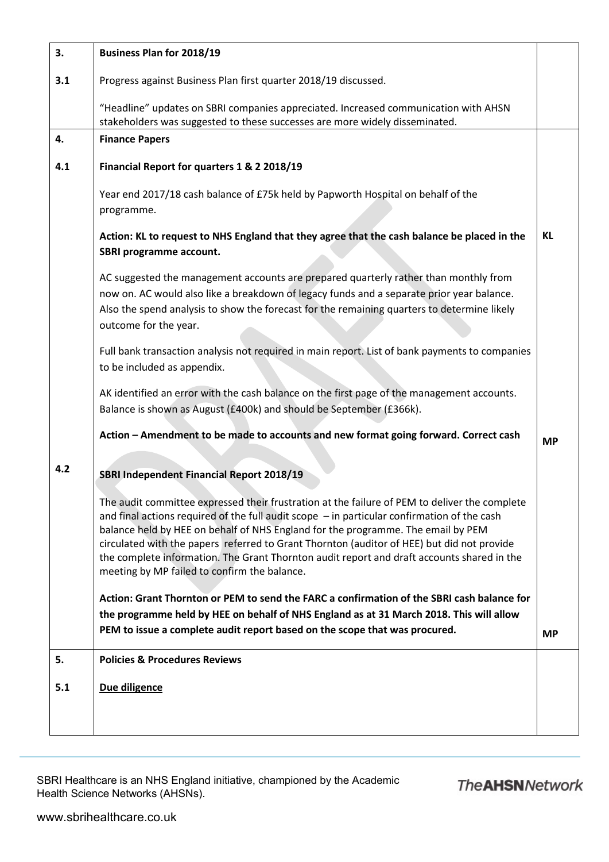| 3.  | <b>Business Plan for 2018/19</b>                                                                                                                                                                                                                                                                                                                                                                                                                                                                                               |           |
|-----|--------------------------------------------------------------------------------------------------------------------------------------------------------------------------------------------------------------------------------------------------------------------------------------------------------------------------------------------------------------------------------------------------------------------------------------------------------------------------------------------------------------------------------|-----------|
| 3.1 | Progress against Business Plan first quarter 2018/19 discussed.                                                                                                                                                                                                                                                                                                                                                                                                                                                                |           |
|     | "Headline" updates on SBRI companies appreciated. Increased communication with AHSN<br>stakeholders was suggested to these successes are more widely disseminated.                                                                                                                                                                                                                                                                                                                                                             |           |
| 4.  | <b>Finance Papers</b>                                                                                                                                                                                                                                                                                                                                                                                                                                                                                                          |           |
| 4.1 | Financial Report for quarters 1 & 2 2018/19                                                                                                                                                                                                                                                                                                                                                                                                                                                                                    |           |
|     | Year end 2017/18 cash balance of £75k held by Papworth Hospital on behalf of the<br>programme.                                                                                                                                                                                                                                                                                                                                                                                                                                 |           |
|     | Action: KL to request to NHS England that they agree that the cash balance be placed in the<br>SBRI programme account.                                                                                                                                                                                                                                                                                                                                                                                                         | <b>KL</b> |
|     | AC suggested the management accounts are prepared quarterly rather than monthly from<br>now on. AC would also like a breakdown of legacy funds and a separate prior year balance.<br>Also the spend analysis to show the forecast for the remaining quarters to determine likely<br>outcome for the year.                                                                                                                                                                                                                      |           |
|     | Full bank transaction analysis not required in main report. List of bank payments to companies<br>to be included as appendix.                                                                                                                                                                                                                                                                                                                                                                                                  |           |
|     | AK identified an error with the cash balance on the first page of the management accounts.<br>Balance is shown as August (£400k) and should be September (£366k).                                                                                                                                                                                                                                                                                                                                                              |           |
|     | Action - Amendment to be made to accounts and new format going forward. Correct cash                                                                                                                                                                                                                                                                                                                                                                                                                                           | <b>MP</b> |
| 4.2 | <b>SBRI Independent Financial Report 2018/19</b>                                                                                                                                                                                                                                                                                                                                                                                                                                                                               |           |
|     | The audit committee expressed their frustration at the failure of PEM to deliver the complete<br>and final actions required of the full audit scope $-$ in particular confirmation of the cash<br>balance held by HEE on behalf of NHS England for the programme. The email by PEM<br>circulated with the papers referred to Grant Thornton (auditor of HEE) but did not provide<br>the complete information. The Grant Thornton audit report and draft accounts shared in the<br>meeting by MP failed to confirm the balance. |           |
|     | Action: Grant Thornton or PEM to send the FARC a confirmation of the SBRI cash balance for<br>the programme held by HEE on behalf of NHS England as at 31 March 2018. This will allow<br>PEM to issue a complete audit report based on the scope that was procured.                                                                                                                                                                                                                                                            | <b>MP</b> |
| 5.  | <b>Policies &amp; Procedures Reviews</b>                                                                                                                                                                                                                                                                                                                                                                                                                                                                                       |           |
| 5.1 | Due diligence                                                                                                                                                                                                                                                                                                                                                                                                                                                                                                                  |           |
|     |                                                                                                                                                                                                                                                                                                                                                                                                                                                                                                                                |           |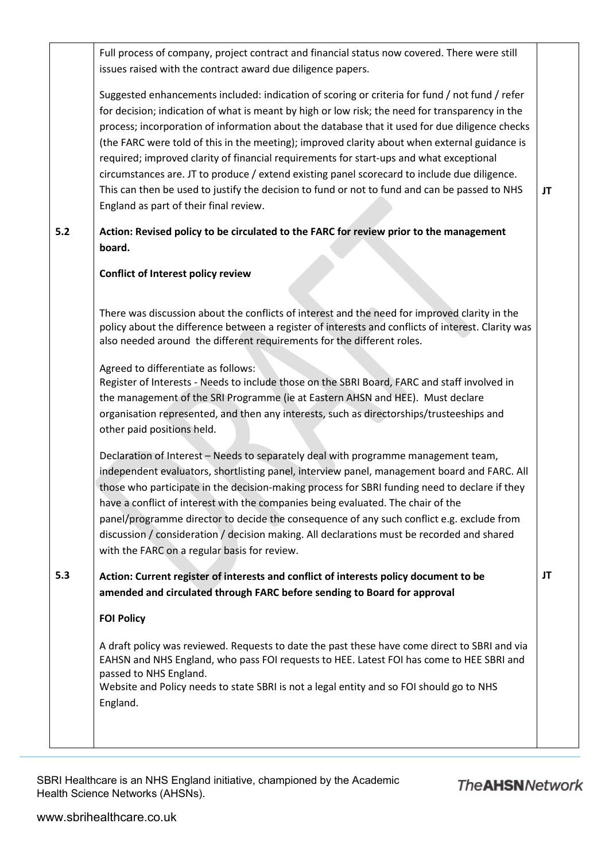|     | Full process of company, project contract and financial status now covered. There were still<br>issues raised with the contract award due diligence papers.                                                                                                                                                                                                                                                                                                                                                                                                                                                                                                                                                                                |    |
|-----|--------------------------------------------------------------------------------------------------------------------------------------------------------------------------------------------------------------------------------------------------------------------------------------------------------------------------------------------------------------------------------------------------------------------------------------------------------------------------------------------------------------------------------------------------------------------------------------------------------------------------------------------------------------------------------------------------------------------------------------------|----|
|     | Suggested enhancements included: indication of scoring or criteria for fund / not fund / refer<br>for decision; indication of what is meant by high or low risk; the need for transparency in the<br>process; incorporation of information about the database that it used for due diligence checks<br>(the FARC were told of this in the meeting); improved clarity about when external guidance is<br>required; improved clarity of financial requirements for start-ups and what exceptional<br>circumstances are. JT to produce / extend existing panel scorecard to include due diligence.<br>This can then be used to justify the decision to fund or not to fund and can be passed to NHS<br>England as part of their final review. | JT |
| 5.2 | Action: Revised policy to be circulated to the FARC for review prior to the management<br>board.                                                                                                                                                                                                                                                                                                                                                                                                                                                                                                                                                                                                                                           |    |
|     | <b>Conflict of Interest policy review</b>                                                                                                                                                                                                                                                                                                                                                                                                                                                                                                                                                                                                                                                                                                  |    |
|     | There was discussion about the conflicts of interest and the need for improved clarity in the<br>policy about the difference between a register of interests and conflicts of interest. Clarity was<br>also needed around the different requirements for the different roles.                                                                                                                                                                                                                                                                                                                                                                                                                                                              |    |
|     | Agreed to differentiate as follows:<br>Register of Interests - Needs to include those on the SBRI Board, FARC and staff involved in<br>the management of the SRI Programme (ie at Eastern AHSN and HEE). Must declare<br>organisation represented, and then any interests, such as directorships/trusteeships and<br>other paid positions held.                                                                                                                                                                                                                                                                                                                                                                                            |    |
|     | Declaration of Interest - Needs to separately deal with programme management team,<br>independent evaluators, shortlisting panel, interview panel, management board and FARC. All<br>those who participate in the decision-making process for SBRI funding need to declare if they<br>have a conflict of interest with the companies being evaluated. The chair of the<br>panel/programme director to decide the consequence of any such conflict e.g. exclude from<br>discussion / consideration / decision making. All declarations must be recorded and shared<br>with the FARC on a regular basis for review.                                                                                                                          |    |
| 5.3 | Action: Current register of interests and conflict of interests policy document to be<br>amended and circulated through FARC before sending to Board for approval                                                                                                                                                                                                                                                                                                                                                                                                                                                                                                                                                                          | JT |
|     | <b>FOI Policy</b>                                                                                                                                                                                                                                                                                                                                                                                                                                                                                                                                                                                                                                                                                                                          |    |
|     | A draft policy was reviewed. Requests to date the past these have come direct to SBRI and via<br>EAHSN and NHS England, who pass FOI requests to HEE. Latest FOI has come to HEE SBRI and<br>passed to NHS England.<br>Website and Policy needs to state SBRI is not a legal entity and so FOI should go to NHS<br>England.                                                                                                                                                                                                                                                                                                                                                                                                                |    |
|     |                                                                                                                                                                                                                                                                                                                                                                                                                                                                                                                                                                                                                                                                                                                                            |    |

SBRI Healthcare is an NHS England initiative, championed by the Academic Health Science Networks (AHSNs).

**The AHSN Network**